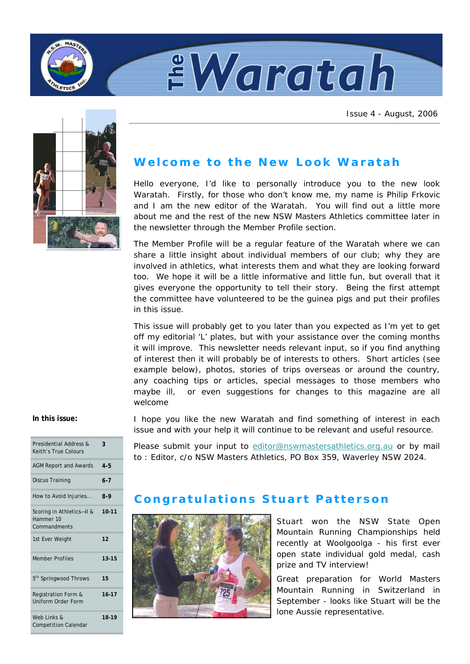



Issue 4 - August, 2006



# **Welcome to the New Look Waratah**

Hello everyone, I'd like to personally introduce you to the new look Waratah. Firstly, for those who don't know me, my name is Philip Frkovic and I am the new editor of the Waratah. You will find out a little more about me and the rest of the new NSW Masters Athletics committee later in the newsletter through the Member Profile section.

The Member Profile will be a regular feature of the Waratah where we can share a little insight about individual members of our club; why they are involved in athletics, what interests them and what they are looking forward too. We hope it will be a little informative and little fun, but overall that it gives everyone the opportunity to tell their story. Being the first attempt the committee have volunteered to be the guinea pigs and put their profiles in this issue.

This issue will probably get to you later than you expected as I'm yet to get off my editorial 'L' plates, but with your assistance over the coming months it will improve. This newsletter needs relevant input, so if you find anything of interest then it will probably be of interests to others. Short articles (see example below), photos, stories of trips overseas or around the country, any coaching tips or articles, special messages to those members who maybe ill, or even suggestions for changes to this magazine are all welcome

### **In this issue:**

| Presidential Address &<br>Keith's True Colours         | 3         |
|--------------------------------------------------------|-----------|
| <b>AGM Report and Awards</b>                           | $4 - 5$   |
| Discus Training                                        | $6 - 7$   |
| How to Avoid Injuries                                  | 8-9       |
| Scoring in Athletics-II &<br>Hammer 10<br>Commandments | $10 - 11$ |
| 1st Ever Weight                                        | 12        |
| <b>Member Profiles</b>                                 | $13 - 15$ |
| 5 <sup>th</sup> Springwood Throws                      | 15        |
| Registration Form &<br>Uniform Order Form              | $16 - 17$ |
| Web Links &<br><b>Competition Calendar</b>             | 18-19     |

I hope you like the new Waratah and find something of interest in each issue and with your help it will continue to be relevant and useful resource.

Please submit your input to editor@nswmastersathletics.org.au or by mail to : Editor, c/o NSW Masters Athletics, PO Box 359, Waverley NSW 2024.

# **Congratulations Stuart Patterson**



Stuart won the NSW State Open Mountain Running Championships held recently at Woolgoolga - his first ever open state individual gold medal, cash prize and TV interview!

Great preparation for World Masters Mountain Running in Switzerland in September - looks like Stuart will be the lone Aussie representative.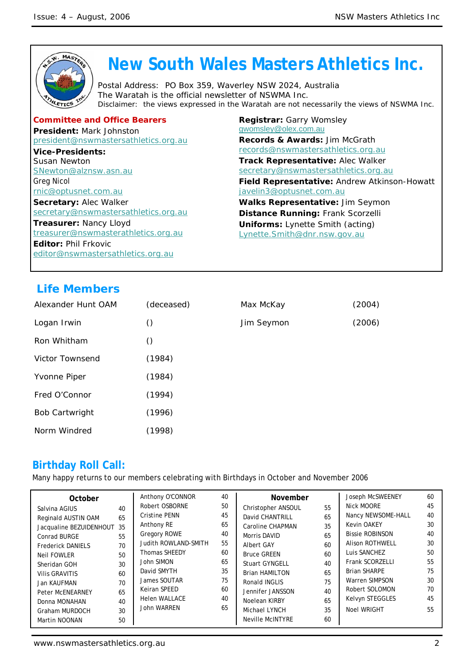

# **Life Members**

| Alexander Hunt OAM    | (deceased) | Max McKay  | (2004) |
|-----------------------|------------|------------|--------|
| Logan Irwin           | O          | Jim Seymon | (2006) |
| Ron Whitham           | $\circ$    |            |        |
| Victor Townsend       | (1984)     |            |        |
| Yvonne Piper          | (1984)     |            |        |
| Fred O'Connor         | (1994)     |            |        |
| <b>Bob Cartwright</b> | (1996)     |            |        |
| Norm Windred          | (1998)     |            |        |

# **Birthday Roll Call:**

Many happy returns to our members celebrating with Birthdays in October and November 2006

| October<br>Salvina AGIUS<br>Reginald AUSTIN OAM<br>Jacqualine BEZUIDENHOUT 35<br>Conrad BURGE<br><b>Frederick DANIELS</b><br><b>Neil FOWLER</b><br>Sheridan GOH<br><b>Vilis GRAVITIS</b><br>Jan KAUFMAN<br><b>Peter McENEARNEY</b> | 40<br>65<br>55<br>70<br>50<br>30<br>60<br>70<br>65 | Anthony O'CONNOR<br>Robert OSBORNE<br><b>Cristine PENN</b><br>Anthony RE<br><b>Gregory ROWE</b><br>Judith ROWLAND-SMITH<br><b>Thomas SHEEDY</b><br>John SIMON<br>David SMYTH<br>James SOUTAR<br>Keiran SPEED | 40<br>50<br>45<br>65<br>40<br>55<br>60<br>65<br>35<br>75<br>60 | November<br>Christopher ANSOUL<br>David CHANTRILL<br>Caroline CHAPMAN<br>Morris DAVID<br><b>Albert GAY</b><br><b>Bruce GREEN</b><br><b>Stuart GYNGELL</b><br><b>Brian HAMILTON</b><br>Ronald INGLIS<br>Jennifer JANSSON | 55<br>65<br>35<br>65<br>60<br>60<br>40<br>65<br>75<br>40 | Joseph McSWEENEY<br>Nick MOORE<br>Nancy NEWSOME-HALL<br><b>Kevin OAKEY</b><br><b>Bissie ROBINSON</b><br><b>Alison ROTHWELL</b><br>Luis SANCHEZ<br>Frank SCORZELLI<br><b>Brian SHARPE</b><br>Warren SIMPSON<br>Robert SOLOMON | 60<br>45<br>40<br>30<br>40<br>30<br>50<br>55<br>75<br>30<br>70 |
|------------------------------------------------------------------------------------------------------------------------------------------------------------------------------------------------------------------------------------|----------------------------------------------------|--------------------------------------------------------------------------------------------------------------------------------------------------------------------------------------------------------------|----------------------------------------------------------------|-------------------------------------------------------------------------------------------------------------------------------------------------------------------------------------------------------------------------|----------------------------------------------------------|------------------------------------------------------------------------------------------------------------------------------------------------------------------------------------------------------------------------------|----------------------------------------------------------------|
|                                                                                                                                                                                                                                    |                                                    |                                                                                                                                                                                                              |                                                                |                                                                                                                                                                                                                         |                                                          |                                                                                                                                                                                                                              |                                                                |
| Donna MONAHAN<br>Graham MURDOCH                                                                                                                                                                                                    | 40<br>30                                           | <b>Helen WALLACE</b><br>John WARREN                                                                                                                                                                          | 40<br>65                                                       | Noelean KIRBY<br>Michael LYNCH                                                                                                                                                                                          | 65<br>35                                                 | Kelvyn STEGGLES<br><b>Noel WRIGHT</b>                                                                                                                                                                                        | 45<br>55                                                       |
| Martin NOONAN                                                                                                                                                                                                                      | 50                                                 |                                                                                                                                                                                                              |                                                                | <b>Neville McINTYRE</b>                                                                                                                                                                                                 | 60                                                       |                                                                                                                                                                                                                              |                                                                |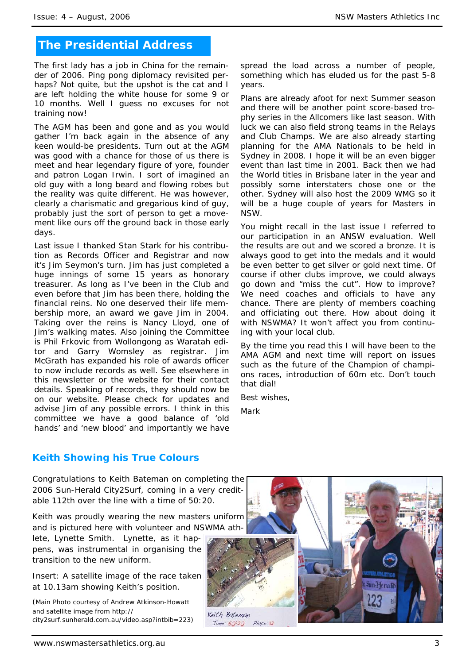# **The Presidential Address**

The first lady has a job in China for the remainder of 2006. Ping pong diplomacy revisited perhaps? Not quite, but the upshot is the cat and I are left holding the white house for some 9 or 10 months. Well I guess no excuses for not training now!

The AGM has been and gone and as you would gather I'm back again in the absence of any keen would-be presidents. Turn out at the AGM was good with a chance for those of us there is meet and hear legendary figure of yore, founder and patron Logan Irwin. I sort of imagined an old guy with a long beard and flowing robes but the reality was quite different. He was however, clearly a charismatic and gregarious kind of guy, probably just the sort of person to get a movement like ours off the ground back in those early days.

Last issue I thanked Stan Stark for his contribution as Records Officer and Registrar and now it's Jim Seymon's turn. Jim has just completed a huge innings of some 15 years as honorary treasurer. As long as I've been in the Club and even before that Jim has been there, holding the financial reins. No one deserved their life membership more, an award we gave Jim in 2004. Taking over the reins is Nancy Lloyd, one of Jim's walking mates. Also joining the Committee is Phil Frkovic from Wollongong as Waratah editor and Garry Womsley as registrar. Jim McGrath has expanded his role of awards officer to now include records as well. See elsewhere in this newsletter or the website for their contact details. Speaking of records, they should now be on our website. Please check for updates and advise Jim of any possible errors. I think in this committee we have a good balance of 'old hands' and 'new blood' and importantly we have

spread the load across a number of people, something which has eluded us for the past 5-8 years.

Plans are already afoot for next Summer season and there will be another point score-based trophy series in the Allcomers like last season. With luck we can also field strong teams in the Relays and Club Champs. We are also already starting planning for the AMA Nationals to be held in Sydney in 2008. I hope it will be an even bigger event than last time in 2001. Back then we had the World titles in Brisbane later in the year and possibly some interstaters chose one or the other. Sydney will also host the 2009 WMG so it will be a huge couple of years for Masters in NSW.

You might recall in the last issue I referred to our participation in an ANSW evaluation. Well the results are out and we scored a bronze. It is always good to get into the medals and it would be even better to get silver or gold next time. Of course if other clubs improve, we could always go down and "miss the cut". How to improve? We need coaches and officials to have any chance. There are plenty of members coaching and officiating out there. How about doing it with NSWMA? It won't affect you from continuing with your local club.

By the time you read this I will have been to the AMA AGM and next time will report on issues such as the future of the Champion of champions races, introduction of 60m etc. Don't touch that dial!

Best wishes,

Mark

## **Keith Showing his True Colours**

Congratulations to Keith Bateman on completing the 2006 Sun-Herald City2Surf, coming in a very creditable 112th over the line with a time of 50:20.

Keith was proudly wearing the new masters uniform and is pictured here with volunteer and NSWMA ath-

lete, Lynette Smith. Lynette, as it happens, was instrumental in organising the transition to the new uniform.

Insert: A satellite image of the race taken at 10.13am showing Keith's position.

*(Main Photo courtesy of Andrew Atkinson-Howatt and satellite image from http:// city2surf.sunherald.com.au/video.asp?intbib=223)* 

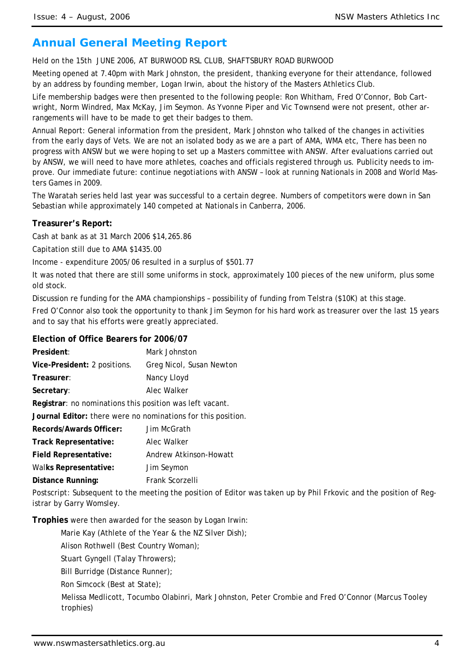# **Annual General Meeting Report**

Held on the 15th JUNE 2006, AT BURWOOD RSL CLUB, SHAFTSBURY ROAD BURWOOD

Meeting opened at 7.40pm with Mark Johnston, the president, thanking everyone for their attendance, followed by an address by founding member, Logan Irwin, about the history of the Masters Athletics Club.

Life membership badges were then presented to the following people: Ron Whitham, Fred O'Connor, Bob Cartwright, Norm Windred, Max McKay, Jim Seymon. As Yvonne Piper and Vic Townsend were not present, other arrangements will have to be made to get their badges to them.

Annual Report: General information from the president, Mark Johnston who talked of the changes in activities from the early days of Vets. We are not an isolated body as we are a part of AMA, WMA etc, There has been no progress with ANSW but we were hoping to set up a Masters committee with ANSW. After evaluations carried out by ANSW, we will need to have more athletes, coaches and officials registered through us. Publicity needs to improve. Our immediate future: continue negotiations with ANSW – look at running Nationals in 2008 and World Masters Games in 2009.

The Waratah series held last year was successful to a certain degree. Numbers of competitors were down in San Sebastian while approximately 140 competed at Nationals in Canberra, 2006.

### **Treasurer's Report:**

Cash at bank as at 31 March 2006 \$14,265.86

Capitation still due to AMA \$1435.00

Income - expenditure 2005/06 resulted in a surplus of \$501.77

It was noted that there are still some uniforms in stock, approximately 100 pieces of the new uniform, plus some old stock.

Discussion re funding for the AMA championships – possibility of funding from Telstra (\$10K) at this stage.

Fred O'Connor also took the opportunity to thank Jim Seymon for his hard work as treasurer over the last 15 years and to say that his efforts were greatly appreciated.

### **Election of Office Bearers for 2006/07**

| President:                                                   | Mark Johnston                                                                                                      |
|--------------------------------------------------------------|--------------------------------------------------------------------------------------------------------------------|
| Vice-President: 2 positions.                                 | Greg Nicol, Susan Newton                                                                                           |
| Treasurer:                                                   | Nancy Lloyd                                                                                                        |
| Secretary:                                                   | Alec Walker                                                                                                        |
| Registrar: no nominations this position was left vacant.     |                                                                                                                    |
| Journal Editor: there were no nominations for this position. |                                                                                                                    |
| Records/Awards Officer:                                      | Jim McGrath                                                                                                        |
| Track Representative:                                        | Alec Walker                                                                                                        |
| <b>Field Representative:</b>                                 | Andrew Atkinson-Howatt                                                                                             |
| <b>Walks Representative:</b>                                 | Jim Seymon                                                                                                         |
| Distance Running:                                            | Frank Scorzelli                                                                                                    |
|                                                              | Postscript: Subsequent to the meeting the position of Editor was taken up by Phil Frkovic and the position of Reg- |

istrar by Garry Womsley.

**Trophies** were then awarded for the season by Logan Irwin:

Marie Kay (Athlete of the Year & the NZ Silver Dish);

Alison Rothwell (Best Country Woman);

Stuart Gyngell (Talay Throwers);

Bill Burridge (Distance Runner);

Ron Simcock (Best at State);

 Melissa Medlicott, Tocumbo Olabinri, Mark Johnston, Peter Crombie and Fred O'Connor (Marcus Tooley trophies)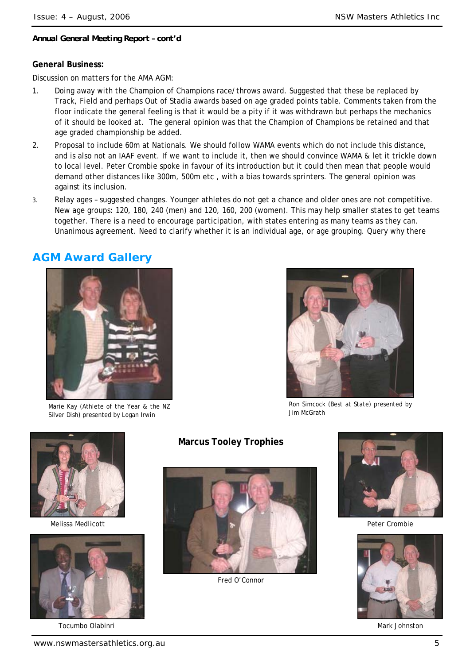### *Annual General Meeting Report – cont'd*

### **General Business:**

Discussion on matters for the AMA AGM:

- 1. Doing away with the Champion of Champions race/throws award. Suggested that these be replaced by Track, Field and perhaps Out of Stadia awards based on age graded points table. Comments taken from the floor indicate the general feeling is that it would be a pity if it was withdrawn but perhaps the mechanics of it should be looked at. The general opinion was that the Champion of Champions be retained and that age graded championship be added.
- 2. Proposal to include 60m at Nationals. We should follow WAMA events which do not include this distance, and is also not an IAAF event. If we want to include it, then we should convince WAMA & let it trickle down to local level. Peter Crombie spoke in favour of its introduction but it could then mean that people would demand other distances like 300m, 500m etc , with a bias towards sprinters. The general opinion was against its inclusion.
- 3. Relay ages suggested changes. Younger athletes do not get a chance and older ones are not competitive. New age groups: 120, 180, 240 (men) and 120, 160, 200 (women). This may help smaller states to get teams together. There is a need to encourage participation, with states entering as many teams as they can. Unanimous agreement. Need to clarify whether it is an individual age, or age grouping. Query why there

# **AGM Award Gallery**



Marie Kay (Athlete of the Year & the NZ Silver Dish) presented by Logan Irwin



Ron Simcock (Best at State) presented by Jim McGrath



Melissa Medlicott



Tocumbo Olabinri

# **Marcus Tooley Trophies**



Fred O'Connor



Peter Crombie



Mark Johnston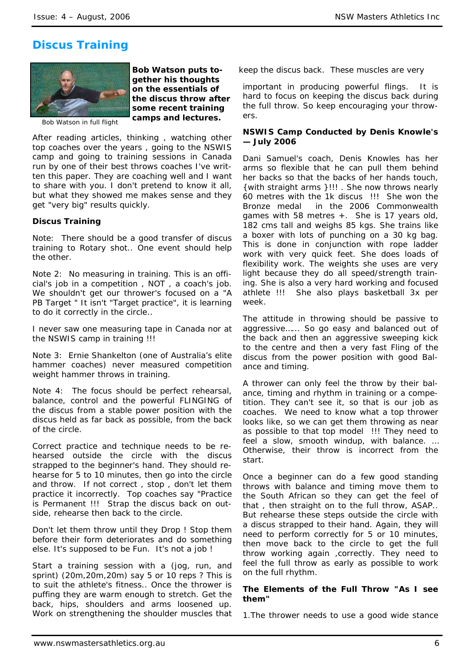# **Discus Training**



*Bob Watson puts together his thoughts on the essentials of the discus throw after some recent training camps and lectures.* 

Bob Watson in full flight

After reading articles, thinking , watching other top coaches over the years , going to the NSWIS camp and going to training sessions in Canada run by one of their best throws coaches I've written this paper. They are coaching well and I want to share with you. I don't pretend to know it all, but what they showed me makes sense and they get "very big" results quickly.

### **Discus Training**

Note: There should be a good transfer of discus training to Rotary shot.. One event should help the other.

Note 2: No measuring in training. This is an official's job in a competition , NOT , a coach's job. We shouldn't get our thrower's focused on a "A PB Target " It isn't "Target practice", it is learning to do it correctly in the circle..

I never saw one measuring tape in Canada nor at the NSWIS camp in training !!!

Note 3: Ernie Shankelton (one of Australia's elite hammer coaches) never measured competition weight hammer throws in training.

Note 4: The focus should be perfect rehearsal, balance, control and the powerful FLINGING of the discus from a stable power position with the discus held as far back as possible, from the back of the circle.

Correct practice and technique needs to be rehearsed outside the circle with the discus strapped to the beginner's hand. They should rehearse for 5 to 10 minutes, then go into the circle and throw. If not correct , stop , don't let them practice it incorrectly. Top coaches say "Practice is Permanent !!! Strap the discus back on outside, rehearse then back to the circle.

Don't let them throw until they Drop ! Stop them before their form deteriorates and do something else. It's supposed to be Fun. It's not a job !

Start a training session with a (jog, run, and sprint) (20m,20m,20m) say 5 or 10 reps ? This is to suit the athlete's fitness.. Once the thrower is puffing they are warm enough to stretch. Get the back, hips, shoulders and arms loosened up. Work on strengthening the shoulder muscles that

keep the discus back. These muscles are very

important in producing powerful flings. It is hard to focus on keeping the discus back during the full throw. So keep encouraging your throwers.

### **NSWIS Camp Conducted by Denis Knowle's — July 2006**

Dani Samuel's coach, Denis Knowles has her arms so flexible that he can pull them behind her backs so that the backs of her hands touch, {with straight arms }!!! . She now throws nearly 60 metres with the 1k discus !!! She won the Bronze medal in the 2006 Commonwealth games with 58 metres +. She is 17 years old, 182 cms tall and weighs 85 kgs. She trains like a boxer with lots of punching on a 30 kg bag. This is done in conjunction with rope ladder work with very quick feet. She does loads of flexibility work. The weights she uses are very light because they do all speed/strength training. She is also a very hard working and focused athlete !!! She also plays basketball 3x per week.

The attitude in throwing should be passive to aggressive…... So go easy and balanced out of the back and then an aggressive sweeping kick to the centre and then a very fast Fling of the discus from the power position with good Balance and timing.

A thrower can only feel the throw by their balance, timing and rhythm in training or a competition. They can't see it, so that is our job as coaches. We need to know what a top thrower looks like, so we can get them throwing as near as possible to that top model !!! They need to feel a slow, smooth windup, with balance. … Otherwise, their throw is incorrect from the start.

Once a beginner can do a few good standing throws with balance and timing move them to the South African so they can get the feel of that , then straight on to the full throw, ASAP.. But rehearse these steps outside the circle with a discus strapped to their hand. Again, they will need to perform correctly for 5 or 10 minutes, then move back to the circle to get the full throw working again ,correctly. They need to feel the full throw as early as possible to work on the full rhythm.

### **The Elements of the Full Throw "As I see them"**

1.The thrower needs to use a good wide stance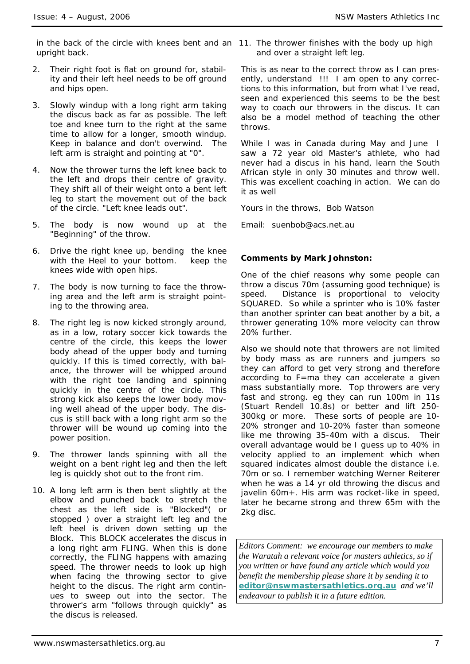in the back of the circle with knees bent and an 11. The thrower finishes with the body up high upright back.

- 2. Their right foot is flat on ground for, stability and their left heel needs to be off ground and hips open.
- 3. Slowly windup with a long right arm taking the discus back as far as possible. The left toe and knee turn to the right at the same time to allow for a longer, smooth windup. Keep in balance and don't overwind. The left arm is straight and pointing at "0".
- 4. Now the thrower turns the left knee back to the left and drops their centre of gravity. They shift all of their weight onto a bent left leg to start the movement out of the back of the circle. "Left knee leads out".
- 5. The body is now wound up at the "Beginning" of the throw.
- 6. Drive the right knee up, bending the knee with the Heel to your bottom. keep the knees wide with open hips.
- 7. The body is now turning to face the throwing area and the left arm is straight pointing to the throwing area.
- 8. The right leg is now kicked strongly around, as in a low, rotary soccer kick towards the centre of the circle, this keeps the lower body ahead of the upper body and turning quickly. If this is timed correctly, with balance, the thrower will be whipped around with the right toe landing and spinning quickly in the centre of the circle. This strong kick also keeps the lower body moving well ahead of the upper body. The discus is still back with a long right arm so the thrower will be wound up coming into the power position.
- 9. The thrower lands spinning with all the weight on a bent right leg and then the left leg is quickly shot out to the front rim.
- 10. A long left arm is then bent slightly at the elbow and punched back to stretch the chest as the left side is "Blocked"( or stopped ) over a straight left leg and the left heel is driven down setting up the Block. This BLOCK accelerates the discus in a long right arm FLING. When this is done correctly, the FLING happens with amazing speed. The thrower needs to look up high when facing the throwing sector to give height to the discus. The right arm continues to sweep out into the sector. The thrower's arm "follows through quickly" as the discus is released.

and over a straight left leg.

This is as near to the correct throw as I can presently, understand !!! I am open to any corrections to this information, but from what I've read, seen and experienced this seems to be the best way to coach our throwers in the discus. It can also be a model method of teaching the other throws.

While I was in Canada during May and June I saw a 72 year old Master's athlete, who had never had a discus in his hand, learn the South African style in only 30 minutes and throw well. This was excellent coaching in action. We can do it as well

Yours in the throws, Bob Watson

Email: *suenbob@acs.net.au*

### **Comments by Mark Johnston:**

One of the chief reasons why some people can throw a discus 70m (assuming good technique) is speed. Distance is proportional to velocity SQUARED. So while a sprinter who is 10% faster than another sprinter can beat another by a bit, a thrower generating 10% more velocity can throw 20% further.

Also we should note that throwers are not limited by body mass as are runners and jumpers so they can afford to get very strong and therefore according to F=ma they can accelerate a given mass substantially more. Top throwers are very fast and strong. eg they can run 100m in 11s (Stuart Rendell 10.8s) or better and lift 250- 300kg or more. These sorts of people are 10- 20% stronger and 10-20% faster than someone like me throwing 35-40m with a discus. Their overall advantage would be I guess up to 40% in velocity applied to an implement which when squared indicates almost double the distance i.e. 70m or so. I remember watching Werner Reiterer when he was a 14 yr old throwing the discus and javelin 60m+. His arm was rocket-like in speed, later he became strong and threw 65m with the 2kg disc.

*Editors Comment: we encourage our members to make the Waratah a relevant voice for masters athletics, so if you written or have found any article which would you benefit the membership please share it by sending it to*  **editor@nswmastersathletics.org.au** *and we'll endeavour to publish it in a future edition.*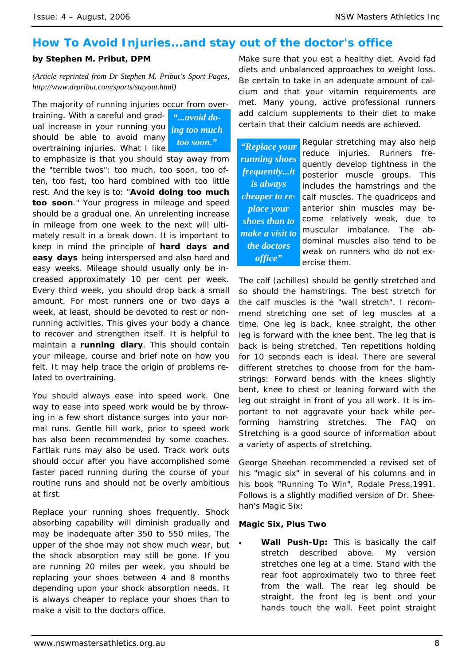# **How To Avoid Injuries...and stay out of the doctor's office**

# **by Stephen M. Pribut, DPM**

*(Article reprinted from Dr Stephen M. Pribut's Sport Pages, http://www.drpribut.com/sports/stayout.html)* 

The majority of running injuries occur from over-

training. With a careful and gradual increase in your running you should be able to avoid many overtraining injuries. What I like

*"...avoid doing too much too soon." "Replace your* 

to emphasize is that you should stay away from the "terrible twos": too much, too soon, too often, too fast, too hard combined with too little rest. And the key is to: "**Avoid doing too much too soon**." Your progress in mileage and speed should be a gradual one. An unrelenting increase in mileage from one week to the next will ultimately result in a break down. It is important to keep in mind the principle of **hard days and easy days** being interspersed and also hard and easy weeks. Mileage should usually only be increased approximately 10 per cent per week. Every third week, you should drop back a small amount. For most runners one or two days a week, at least, should be devoted to rest or nonrunning activities. This gives your body a chance to recover and strengthen itself. It is helpful to maintain a **running diary**. This should contain your mileage, course and brief note on how you felt. It may help trace the origin of problems related to overtraining.

You should always ease into speed work. One way to ease into speed work would be by throwing in a few short distance surges into your normal runs. Gentle hill work, prior to speed work has also been recommended by some coaches. Fartlak runs may also be used. Track work outs should occur after you have accomplished some faster paced running during the course of your routine runs and should not be overly ambitious at first.

Replace your running shoes frequently. Shock absorbing capability will diminish gradually and may be inadequate after 350 to 550 miles. The upper of the shoe may not show much wear, but the shock absorption may still be gone. If you are running 20 miles per week, you should be replacing your shoes between 4 and 8 months depending upon your shock absorption needs. It is always cheaper to replace your shoes than to make a visit to the doctors office.

Make sure that you eat a healthy diet. Avoid fad diets and unbalanced approaches to weight loss. Be certain to take in an adequate amount of calcium and that your vitamin requirements are met. Many young, active professional runners add calcium supplements to their diet to make certain that their calcium needs are achieved.

*running shoes frequently...it is always cheaper to replace your shoes than to make a visit to the doctors office"* 

Regular stretching may also help reduce injuries. Runners frequently develop tightness in the posterior muscle groups. This includes the hamstrings and the calf muscles. The quadriceps and anterior shin muscles may become relatively weak, due to muscular imbalance. The abdominal muscles also tend to be weak on runners who do not exercise them.

The calf (achilles) should be gently stretched and so should the hamstrings. The best stretch for the calf muscles is the "wall stretch". I recommend stretching one set of leg muscles at a time. One leg is back, knee straight, the other leg is forward with the knee bent. The leg that is back is being stretched. Ten repetitions holding for 10 seconds each is ideal. There are several different stretches to choose from for the hamstrings: Forward bends with the knees slightly bent, knee to chest or leaning forward with the leg out straight in front of you all work. It is important to not aggravate your back while performing hamstring stretches. The FAQ on Stretching is a good source of information about a variety of aspects of stretching.

George Sheehan recommended a revised set of his "magic six" in several of his columns and in his book "Running To Win", Rodale Press,1991. Follows is a slightly modified version of Dr. Sheehan's Magic Six:

### **Magic Six, Plus Two**

• **Wall Push-Up:** This is basically the calf stretch described above. My version stretches one leg at a time. Stand with the rear foot approximately two to three feet from the wall. The rear leg should be straight, the front leg is bent and your hands touch the wall. Feet point straight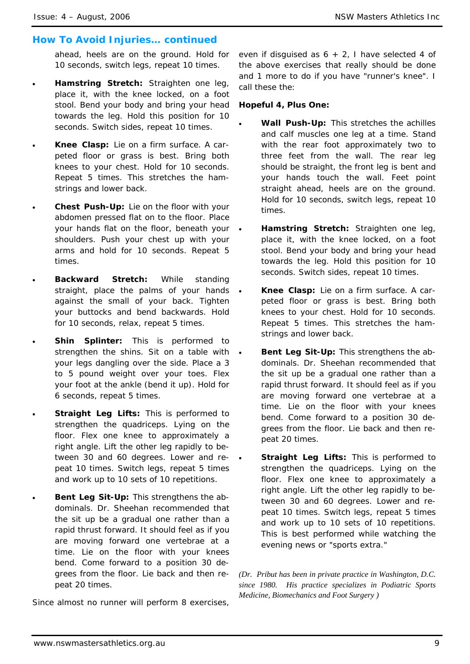# *How To Avoid Injuries… continued*

ahead, heels are on the ground. Hold for 10 seconds, switch legs, repeat 10 times.

- **Hamstring Stretch:** Straighten one leg, place it, with the knee locked, on a foot stool. Bend your body and bring your head towards the leg. Hold this position for 10 seconds. Switch sides, repeat 10 times.
- **Knee Clasp:** Lie on a firm surface. A carpeted floor or grass is best. Bring both knees to your chest. Hold for 10 seconds. Repeat 5 times. This stretches the hamstrings and lower back.
- **Chest Push-Up:** Lie on the floor with your abdomen pressed flat on to the floor. Place your hands flat on the floor, beneath your shoulders. Push your chest up with your arms and hold for 10 seconds. Repeat 5 times.
- **Backward Stretch:** While standing straight, place the palms of your hands against the small of your back. Tighten your buttocks and bend backwards. Hold for 10 seconds, relax, repeat 5 times.
- **Shin Splinter:** This is performed to strengthen the shins. Sit on a table with your legs dangling over the side. Place a 3 to 5 pound weight over your toes. Flex your foot at the ankle (bend it up). Hold for 6 seconds, repeat 5 times.
- **Straight Leg Lifts: This is performed to** strengthen the quadriceps. Lying on the floor. Flex one knee to approximately a right angle. Lift the other leg rapidly to between 30 and 60 degrees. Lower and repeat 10 times. Switch legs, repeat 5 times and work up to 10 sets of 10 repetitions.
- **Bent Leg Sit-Up:** This strengthens the abdominals. Dr. Sheehan recommended that the sit up be a gradual one rather than a rapid thrust forward. It should feel as if you are moving forward one vertebrae at a time. Lie on the floor with your knees bend. Come forward to a position 30 degrees from the floor. Lie back and then repeat 20 times.

Since almost no runner will perform 8 exercises,

even if disguised as  $6 + 2$ , I have selected 4 of the above exercises that really should be done and 1 more to do if you have "runner's knee". I call these the:

### **Hopeful 4, Plus One:**

- **Wall Push-Up:** This stretches the achilles and calf muscles one leg at a time. Stand with the rear foot approximately two to three feet from the wall. The rear leg should be straight, the front leg is bent and your hands touch the wall. Feet point straight ahead, heels are on the ground. Hold for 10 seconds, switch legs, repeat 10 times.
- **Hamstring Stretch:** Straighten one leg, place it, with the knee locked, on a foot stool. Bend your body and bring your head towards the leg. Hold this position for 10 seconds. Switch sides, repeat 10 times.
- **Knee Clasp:** Lie on a firm surface. A carpeted floor or grass is best. Bring both knees to your chest. Hold for 10 seconds. Repeat 5 times. This stretches the hamstrings and lower back.
- **Bent Leg Sit-Up:** This strengthens the abdominals. Dr. Sheehan recommended that the sit up be a gradual one rather than a rapid thrust forward. It should feel as if you are moving forward one vertebrae at a time. Lie on the floor with your knees bend. Come forward to a position 30 degrees from the floor. Lie back and then repeat 20 times.
- **Straight Leg Lifts: This is performed to** strengthen the quadriceps. Lying on the floor. Flex one knee to approximately a right angle. Lift the other leg rapidly to between 30 and 60 degrees. Lower and repeat 10 times. Switch legs, repeat 5 times and work up to 10 sets of 10 repetitions. This is best performed while watching the evening news or "sports extra."

*(Dr. Pribut has been in private practice in Washington, D.C. since 1980. His practice specializes in Podiatric Sports Medicine, Biomechanics and Foot Surgery )*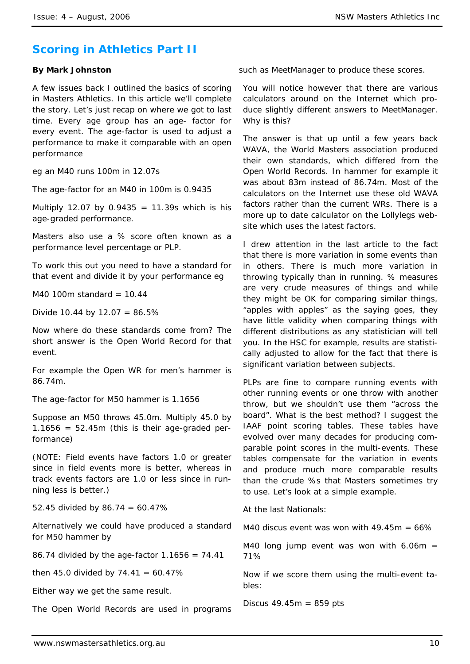# **Scoring in Athletics Part II**

### **By Mark Johnston**

A few issues back I outlined the basics of scoring in Masters Athletics. In this article we'll complete the story. Let's just recap on where we got to last time. Every age group has an age- factor for every event. The age-factor is used to adjust a performance to make it comparable with an open performance

eg an M40 runs 100m in 12.07s

The age-factor for an M40 in 100m is 0.9435

Multiply 12.07 by 0.9435 = 11.39s which is his age-graded performance.

Masters also use a % score often known as a performance level percentage or PLP.

To work this out you need to have a standard for that event and divide it by your performance eg

M40 100m standard =  $10.44$ 

Divide 10.44 by  $12.07 = 86.5\%$ 

Now where do these standards come from? The short answer is the Open World Record for that event.

For example the Open WR for men's hammer is 86.74m.

The age-factor for M50 hammer is 1.1656

Suppose an M50 throws 45.0m. Multiply 45.0 by  $1.1656 = 52.45m$  (this is their age-graded performance)

(NOTE: Field events have factors 1.0 or greater since in field events more is better, whereas in track events factors are 1.0 or less since in running less is better.)

52.45 divided by  $86.74 = 60.47\%$ 

Alternatively we could have produced a standard for M50 hammer by

86.74 divided by the age-factor  $1.1656 = 74.41$ 

then 45.0 divided by  $74.41 = 60.47\%$ 

Either way we get the same result.

The Open World Records are used in programs

such as MeetManager to produce these scores.

You will notice however that there are various calculators around on the Internet which produce slightly different answers to MeetManager. Why is this?

The answer is that up until a few years back WAVA, the World Masters association produced their own standards, which differed from the Open World Records. In hammer for example it was about 83m instead of 86.74m. Most of the calculators on the Internet use these old WAVA factors rather than the current WRs. There is a more up to date calculator on the Lollylegs website which uses the latest factors.

I drew attention in the last article to the fact that there is more variation in some events than in others. There is much more variation in throwing typically than in running. % measures are very crude measures of things and while they might be OK for comparing similar things, "apples with apples" as the saying goes, they have little validity when comparing things with different distributions as any statistician will tell you. In the HSC for example, results are statistically adjusted to allow for the fact that there is significant variation between subjects.

PLPs are fine to compare running events with other running events or one throw with another throw, but we shouldn't use them "across the board". What is the best method? I suggest the IAAF point scoring tables. These tables have evolved over many decades for producing comparable point scores in the multi-events. These tables compensate for the variation in events and produce much more comparable results than the crude %s that Masters sometimes try to use. Let's look at a simple example.

At the last Nationals:

M40 discus event was won with  $49.45m = 66\%$ 

M40 long jump event was won with  $6.06m =$ 71%

Now if we score them using the multi-event tables:

Discus  $49.45m = 859$  pts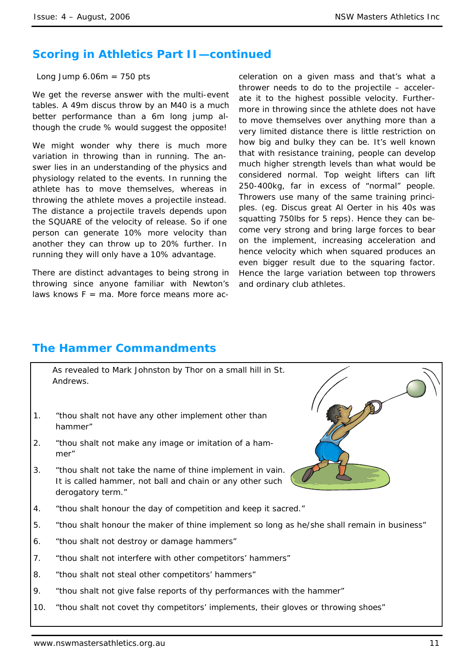# **Scoring in Athletics Part II—continued**

Long Jump  $6.06m = 750$  pts

We get the reverse answer with the multi-event tables. A 49m discus throw by an M40 is a much better performance than a 6m long jump although the crude % would suggest the opposite!

We might wonder why there is much more variation in throwing than in running. The answer lies in an understanding of the physics and physiology related to the events. In running the athlete has to move themselves, whereas in throwing the athlete moves a projectile instead. The distance a projectile travels depends upon the SQUARE of the velocity of release. So if one person can generate 10% more velocity than another they can throw up to 20% further. In running they will only have a 10% advantage.

There are distinct advantages to being strong in throwing since anyone familiar with Newton's laws knows  $F = ma$ . More force means more acceleration on a given mass and that's what a thrower needs to do to the projectile – accelerate it to the highest possible velocity. Furthermore in throwing since the athlete does not have to move themselves over anything more than a very limited distance there is little restriction on how big and bulky they can be. It's well known that with resistance training, people can develop much higher strength levels than what would be considered normal. Top weight lifters can lift 250-400kg, far in excess of "normal" people. Throwers use many of the same training principles. (eg. Discus great Al Oerter in his 40s was squatting 750lbs for 5 reps). Hence they can become very strong and bring large forces to bear on the implement, increasing acceleration and hence velocity which when squared produces an even bigger result due to the squaring factor. Hence the large variation between top throwers and ordinary club athletes.

# **The Hammer Commandments**

As revealed to Mark Johnston by Thor on a small hill in St. Andrews.

- 1. "thou shalt not have any other implement other than hammer"
- 2. "thou shalt not make any image or imitation of a hammer"
- 3. "thou shalt not take the name of thine implement in vain. It is called hammer, not ball and chain or any other such derogatory term."
- 4. "thou shalt honour the day of competition and keep it sacred."
- 5. "thou shalt honour the maker of thine implement so long as he/she shall remain in business"
- 6. "thou shalt not destroy or damage hammers"
- 7. "thou shalt not interfere with other competitors' hammers"
- 8. "thou shalt not steal other competitors' hammers"
- 9. "thou shalt not give false reports of thy performances with the hammer"
- 10. "thou shalt not covet thy competitors' implements, their gloves or throwing shoes"

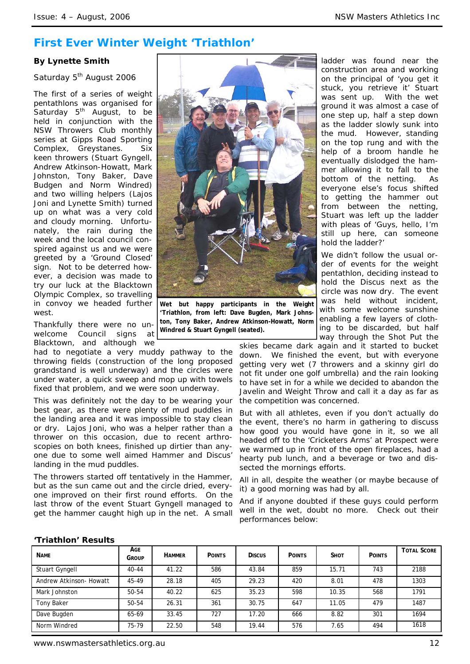# **First Ever Winter Weight 'Triathlon'**

### **By Lynette Smith**

### Saturday 5<sup>th</sup> August 2006

The first of a series of weight pentathlons was organised for Saturday  $5<sup>th</sup>$  August, to be held in conjunction with the NSW Throwers Club monthly series at Gipps Road Sporting Complex, Greystanes. Six keen throwers (Stuart Gyngell, Andrew Atkinson-Howatt, Mark Johnston, Tony Baker, Dave Budgen and Norm Windred) and two willing helpers (Lajos Joni and Lynette Smith) turned up on what was a very cold and cloudy morning. Unfortunately, the rain during the week and the local council conspired against us and we were greeted by a 'Ground Closed' sign. Not to be deterred however, a decision was made to try our luck at the Blacktown Olympic Complex, so travelling in convoy we headed further west.

Thankfully there were no unwelcome Council signs at Blacktown, and although we

had to negotiate a very muddy pathway to the throwing fields (construction of the long proposed grandstand is well underway) and the circles were under water, a quick sweep and mop up with towels fixed that problem, and we were soon underway.

This was definitely not the day to be wearing your best gear, as there were plenty of mud puddles in the landing area and it was impossible to stay clean or dry. Lajos Joni, who was a helper rather than a thrower on this occasion, due to recent arthroscopies on both knees, finished up dirtier than anyone due to some well aimed Hammer and Discus' landing in the mud puddles.

The throwers started off tentatively in the Hammer, but as the sun came out and the circle dried, everyone improved on their first round efforts. On the last throw of the event Stuart Gyngell managed to get the hammer caught high up in the net. A small



**Wet but happy participants in the Weight 'Triathlon, from left: Dave Bugden, Mark Johnston, Tony Baker, Andrew Atkinson-Howatt, Norm Windred & Stuart Gyngell (seated).** 

ladder was found near the construction area and working on the principal of 'you get it stuck, you retrieve it' Stuart was sent up. With the wet ground it was almost a case of one step up, half a step down as the ladder slowly sunk into the mud. However, standing on the top rung and with the help of a broom handle he eventually dislodged the hammer allowing it to fall to the bottom of the netting. As everyone else's focus shifted to getting the hammer out from between the netting, Stuart was left up the ladder with pleas of 'Guys, hello, I'm still up here, can someone hold the ladder?'

We didn't follow the usual order of events for the weight pentathlon, deciding instead to hold the Discus next as the circle was now dry. The event was held without incident. with some welcome sunshine enabling a few layers of clothing to be discarded, but half way through the Shot Put the

skies became dark again and it started to bucket down. We finished the event, but with everyone getting very wet (7 throwers and a skinny girl do not fit under one golf umbrella) and the rain looking to have set in for a while we decided to abandon the Javelin and Weight Throw and call it a day as far as the competition was concerned.

But with all athletes, even if you don't actually do the event, there's no harm in gathering to discuss how good you would have gone in it, so we all headed off to the 'Cricketers Arms' at Prospect were we warmed up in front of the open fireplaces, had a hearty pub lunch, and a beverage or two and dissected the mornings efforts.

All in all, despite the weather (or maybe because of it) a good morning was had by all.

And if anyone doubted if these guys could perform well in the wet, doubt no more. Check out their performances below:

### **'Triathlon' Results**

| <b>NAME</b>             | AGE<br>Group | <b>HAMMER</b> | <b>POINTS</b> | <b>Discus</b> | <b>POINTS</b> | <b>SHOT</b> | <b>POINTS</b> | <b>TOTAL SCORE</b> |
|-------------------------|--------------|---------------|---------------|---------------|---------------|-------------|---------------|--------------------|
| Stuart Gyngell          | $40 - 44$    | 41.22         | 586           | 43.84         | 859           | 15.71       | 743           | 2188               |
| Andrew Atkinson- Howatt | 45-49        | 28.18         | 405           | 29.23         | 420           | 8.01        | 478           | 1303               |
| Mark Johnston           | 50-54        | 40.22         | 625           | 35.23         | 598           | 10.35       | 568           | 1791               |
| Tony Baker              | 50-54        | 26.31         | 361           | 30.75         | 647           | 11.05       | 479           | 1487               |
| Dave Bugden             | 65-69        | 33.45         | 727           | 17.20         | 666           | 8.82        | 301           | 1694               |
| Norm Windred            | 75-79        | 22.50         | 548           | 19.44         | 576           | 7.65        | 494           | 1618               |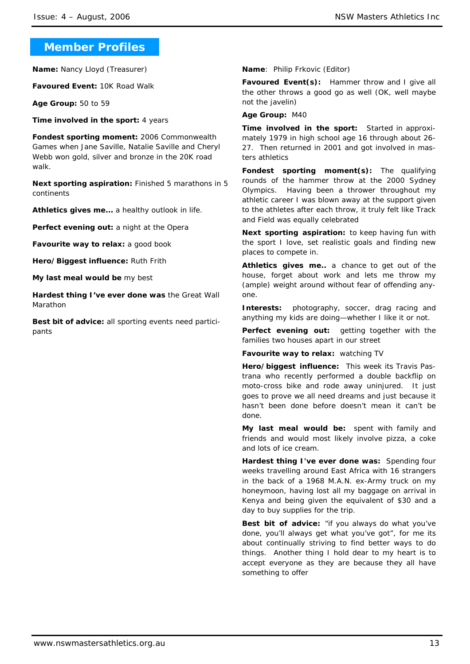# **Member Profiles**

**Name:** Nancy Lloyd (Treasurer)

**Favoured Event:** 10K Road Walk

**Age Group:** 50 to 59

**Time involved in the sport:** 4 years

**Fondest sporting moment:** 2006 Commonwealth Games when Jane Saville, Natalie Saville and Cheryl Webb won gold, silver and bronze in the 20K road walk.

**Next sporting aspiration:** Finished 5 marathons in 5 continents

**Athletics gives me...** a healthy outlook in life.

Perfect evening out: a night at the Opera

**Favourite way to relax: a good book** 

**Hero/Biggest influence:** Ruth Frith

**My last meal would be** my best

**Hardest thing I've ever done was** the Great Wall Marathon

**Best bit of advice:** all sporting events need participants

**Name**: Philip Frkovic (Editor)

**Favoured Event(s):** Hammer throw and I give all the other throws a good go as well (OK, well maybe not the javelin)

**Age Group:** M40

**Time involved in the sport:** Started in approximately 1979 in high school age 16 through about 26- 27. Then returned in 2001 and got involved in masters athletics

**Fondest sporting moment(s):** The qualifying rounds of the hammer throw at the 2000 Sydney Olympics. Having been a thrower throughout my athletic career I was blown away at the support given to the athletes after each throw, it truly felt like Track and Field was equally celebrated

**Next sporting aspiration:** to keep having fun with the sport I love, set realistic goals and finding new places to compete in.

**Athletics gives me..** a chance to get out of the house, forget about work and lets me throw my (ample) weight around without fear of offending anyone.

**Interests:** photography, soccer, drag racing and anything my kids are doing—whether I like it or not.

**Perfect evening out:** getting together with the families two houses apart in our street

**Favourite way to relax:** watching TV

**Hero/biggest influence:** This week its Travis Pastrana who recently performed a double backflip on moto-cross bike and rode away uninjured. It just goes to prove we all need dreams and just because it hasn't been done before doesn't mean it can't be done.

**My last meal would be:** spent with family and friends and would most likely involve pizza, a coke and lots of ice cream.

**Hardest thing I've ever done was:** Spending four weeks travelling around East Africa with 16 strangers in the back of a 1968 M.A.N. ex-Army truck on my honeymoon, having lost all my baggage on arrival in Kenya and being given the equivalent of \$30 and a day to buy supplies for the trip.

**Best bit of advice:** "if you always do what you've done, you'll always get what you've got", for me its about continually striving to find better ways to do things. Another thing I hold dear to my heart is to accept everyone as they are because they all have something to offer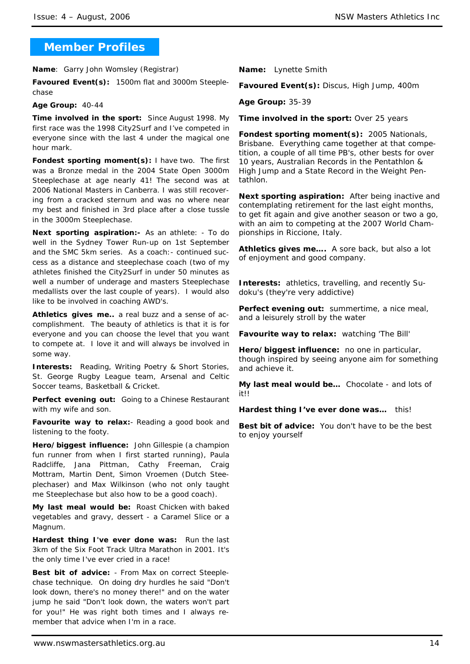# **Member Profiles**

**Name**: Garry John Womsley (Registrar)

**Favoured Event(s):** 1500m flat and 3000m Steeplechase

### **Age Group:** 40-44

**Time involved in the sport:** Since August 1998. My first race was the 1998 City2Surf and I've competed in everyone since with the last 4 under the magical one hour mark.

**Fondest sporting moment(s):** I have two. The first was a Bronze medal in the 2004 State Open 3000m Steeplechase at age nearly 41! The second was at 2006 National Masters in Canberra. I was still recovering from a cracked sternum and was no where near my best and finished in 3rd place after a close tussle in the 3000m Steeplechase.

**Next sporting aspiration:-** As an athlete: - To do well in the Sydney Tower Run-up on 1st September and the SMC 5km series. As a coach:- continued success as a distance and steeplechase coach (two of my athletes finished the City2Surf in under 50 minutes as well a number of underage and masters Steeplechase medallists over the last couple of years). I would also like to be involved in coaching AWD's.

**Athletics gives me..** a real buzz and a sense of accomplishment. The beauty of athletics is that it is for everyone and you can choose the level that you want to compete at. I love it and will always be involved in some way.

**Interests:** Reading, Writing Poetry & Short Stories, St. George Rugby League team, Arsenal and Celtic Soccer teams, Basketball & Cricket.

Perfect evening out: Going to a Chinese Restaurant with my wife and son.

**Favourite way to relax:**- Reading a good book and listening to the footy.

**Hero/biggest influence:** John Gillespie (a champion fun runner from when I first started running), Paula Radcliffe, Jana Pittman, Cathy Freeman, Craig Mottram, Martin Dent, Simon Vroemen (Dutch Steeplechaser) and Max Wilkinson (who not only taught me Steeplechase but also how to be a good coach).

**My last meal would be:** Roast Chicken with baked vegetables and gravy, dessert - a Caramel Slice or a Magnum.

**Hardest thing I've ever done was:** Run the last 3km of the Six Foot Track Ultra Marathon in 2001. It's the only time I've ever cried in a race!

**Best bit of advice:** - From Max on correct Steeplechase technique. On doing dry hurdles he said "Don't look down, there's no money there!" and on the water jump he said "Don't look down, the waters won't part for you!" He was right both times and I always remember that advice when I'm in a race.

**Name:** Lynette Smith

**Favoured Event(s):** Discus, High Jump, 400m

**Age Group:** 35-39

**Time involved in the sport:** Over 25 years

**Fondest sporting moment(s):** 2005 Nationals, Brisbane. Everything came together at that competition, a couple of all time PB's, other bests for over 10 years, Australian Records in the Pentathlon & High Jump and a State Record in the Weight Pentathlon.

**Next sporting aspiration:** After being inactive and contemplating retirement for the last eight months, to get fit again and give another season or two a go, with an aim to competing at the 2007 World Championships in Riccione, Italy.

**Athletics gives me….** A sore back, but also a lot of enjoyment and good company.

**Interests:** athletics, travelling, and recently Sudoku's (they're very addictive)

**Perfect evening out:** summertime, a nice meal, and a leisurely stroll by the water

**Favourite way to relax:** watching 'The Bill'

**Hero/biggest influence:** no one in particular, though inspired by seeing anyone aim for something and achieve it.

**My last meal would be…** Chocolate - and lots of it!!

**Hardest thing I've ever done was…** this!

**Best bit of advice:** You don't have to be the best to enjoy yourself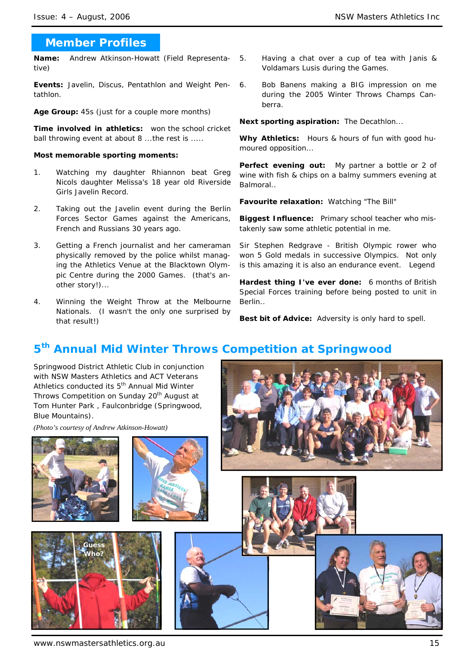# **Member Profiles**

**Name:** Andrew Atkinson-Howatt (Field Representative)

**Events:** Javelin, Discus, Pentathlon and Weight Pentathlon.

**Age Group:** 45s (just for a couple more months)

**Time involved in athletics:** won the school cricket ball throwing event at about 8 ...the rest is .....

### **Most memorable sporting moments:**

- 1. Watching my daughter Rhiannon beat Greg Nicols daughter Melissa's 18 year old Riverside Girls Javelin Record.
- 2. Taking out the Javelin event during the Berlin Forces Sector Games against the Americans, French and Russians 30 years ago.
- 3. Getting a French journalist and her cameraman physically removed by the police whilst managing the Athletics Venue at the Blacktown Olympic Centre during the 2000 Games. (that's another story!)...
- 4. Winning the Weight Throw at the Melbourne Nationals. (I wasn't the only one surprised by that result!)
- 5. Having a chat over a cup of tea with Janis & Voldamars Lusis during the Games.
	- 6. Bob Banens making a BIG impression on me during the 2005 Winter Throws Champs Canberra.

**Next sporting aspiration:** The Decathlon...

**Why Athletics:** Hours & hours of fun with good humoured opposition...

Perfect evening out: My partner a bottle or 2 of wine with fish & chips on a balmy summers evening at Balmoral..

**Favourite relaxation:** Watching "The Bill"

**Biggest Influence:** Primary school teacher who mistakenly saw some athletic potential in me.

Sir Stephen Redgrave - British Olympic rower who won 5 Gold medals in successive Olympics. Not only is this amazing it is also an endurance event. Legend

**Hardest thing I've ever done:** 6 months of British Special Forces training before being posted to unit in Berlin..

**Best bit of Advice:** Adversity is only hard to spell.

# **5th Annual Mid Winter Throws Competition at Springwood**

Springwood District Athletic Club in conjunction with NSW Masters Athletics and ACT Veterans Athletics conducted its 5<sup>th</sup> Annual Mid Winter Throws Competition on Sunday 20<sup>th</sup> August at Tom Hunter Park , Faulconbridge (Springwood, Blue Mountains).

*(Photo's courtesy of Andrew Atkinson-Howatt)* 











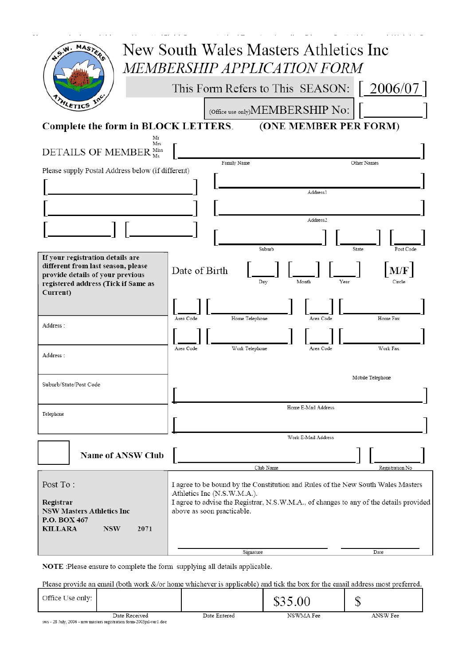| MASTERS<br><b>A.S.W.</b>                                                                                                                                      | New South Wales Masters Athletics Inc<br><i>MEMBERSHIP APPLICATION FORM</i>                                          |
|---------------------------------------------------------------------------------------------------------------------------------------------------------------|----------------------------------------------------------------------------------------------------------------------|
|                                                                                                                                                               | $\lceil 2006/07 \rceil$<br>This Form Refers to This SEASON:                                                          |
| ATHLETICS                                                                                                                                                     | (Office use only) MEMBERSHIP NO:                                                                                     |
| Complete the form in BLOCK LETTERS.                                                                                                                           | (ONE MEMBER PER FORM)                                                                                                |
| Mr<br>Mrs<br>DETAILS OF MEMBER Miss                                                                                                                           |                                                                                                                      |
| Please supply Postal Address below (if different)                                                                                                             | Family Name<br>Other Names                                                                                           |
|                                                                                                                                                               | Address1                                                                                                             |
|                                                                                                                                                               |                                                                                                                      |
|                                                                                                                                                               | Address2                                                                                                             |
|                                                                                                                                                               | Suburb<br>State<br>Post Code                                                                                         |
| If your registration details are<br>different from last season, please<br>provide details of your previous<br>registered address (Tick if Same as<br>Current) | M/F<br>Date of Birth<br>Month<br>Year<br>Day<br>Circle                                                               |
| Address:                                                                                                                                                      | Home Fax<br>Area Code<br>Home Telephone<br>Area Code                                                                 |
|                                                                                                                                                               | Work Fax<br>Area Code<br>Work Telephone<br>Area Code                                                                 |
| Address :                                                                                                                                                     |                                                                                                                      |
| Suburb/State/Post Code                                                                                                                                        | Mobile Telephone<br>г                                                                                                |
|                                                                                                                                                               |                                                                                                                      |
| Telephone                                                                                                                                                     | Home E-Mail Address                                                                                                  |
|                                                                                                                                                               | Work E-Mail Address                                                                                                  |
|                                                                                                                                                               |                                                                                                                      |
| <b>Name of ANSW Club</b>                                                                                                                                      | Club Name<br>Registration No                                                                                         |
| Post To:                                                                                                                                                      | I agree to be bound by the Constitution and Rules of the New South Wales Masters<br>Athletics Inc (N.S.W.M.A.).      |
| Registrar<br><b>NSW Masters Athletics Inc</b><br>P.O. BOX 467                                                                                                 | I agree to advise the Registrar, N.S.W.M.A., of changes to any of the details provided<br>above as soon practicable. |
| <b>KILLARA</b><br><b>NSW</b><br>2071                                                                                                                          |                                                                                                                      |
|                                                                                                                                                               | Signature<br>Date                                                                                                    |

NOTE :Please ensure to complete the form supplying all details applicable.

Please provide an email (both work &/or home whichever is applicable) and tick the box for the email address most preferred.

| Office Use only: |                                                                                       |              | \$35.00   | c<br>J   |
|------------------|---------------------------------------------------------------------------------------|--------------|-----------|----------|
|                  | Date Received<br>sws - 28 July, 2006 - nsw masters registration form-2003jul-ver1.doc | Date Entered | NSWMA Fee | ANSW Fee |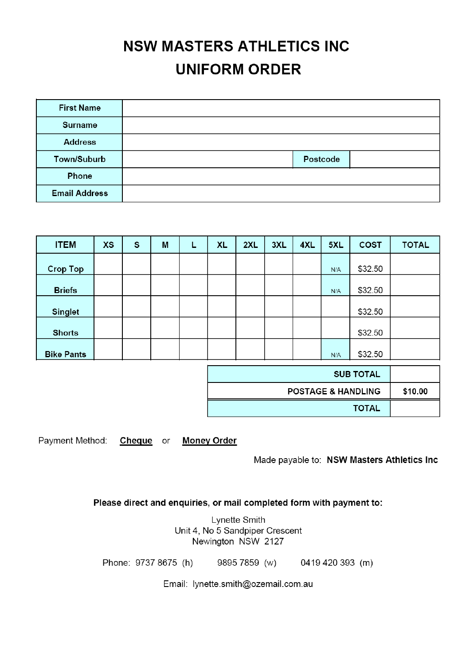# **NSW MASTERS ATHLETICS INC UNIFORM ORDER**

| <b>First Name</b>    |          |  |
|----------------------|----------|--|
| <b>Surname</b>       |          |  |
| <b>Address</b>       |          |  |
| Town/Suburb          | Postcode |  |
| Phone                |          |  |
| <b>Email Address</b> |          |  |

| <b>ITEM</b>       | <b>XS</b> | S | M | L | <b>XL</b> | 2XL | 3XL | 4XL | 5XL | <b>COST</b> | <b>TOTAL</b> |
|-------------------|-----------|---|---|---|-----------|-----|-----|-----|-----|-------------|--------------|
| <b>Crop Top</b>   |           |   |   |   |           |     |     |     | N/A | \$32.50     |              |
| <b>Briefs</b>     |           |   |   |   |           |     |     |     | N/A | \$32.50     |              |
| <b>Singlet</b>    |           |   |   |   |           |     |     |     |     | \$32.50     |              |
| <b>Shorts</b>     |           |   |   |   |           |     |     |     |     | \$32.50     |              |
| <b>Bike Pants</b> |           |   |   |   |           |     |     |     | N/A | \$32.50     |              |

| <b>SUB TOTAL</b>              |         |
|-------------------------------|---------|
| <b>POSTAGE &amp; HANDLING</b> | \$10.00 |
| <b>TOTAL</b>                  |         |

Payment Method: Cheque or Money Order

Made payable to: NSW Masters Athletics Inc

Please direct and enquiries, or mail completed form with payment to:

Lynette Smith Unit 4, No 5 Sandpiper Crescent Newington NSW 2127

Phone: 9737 8675 (h) 9895 7859 (w) 0419 420 393 (m)

Email: lynette.smith@ozemail.com.au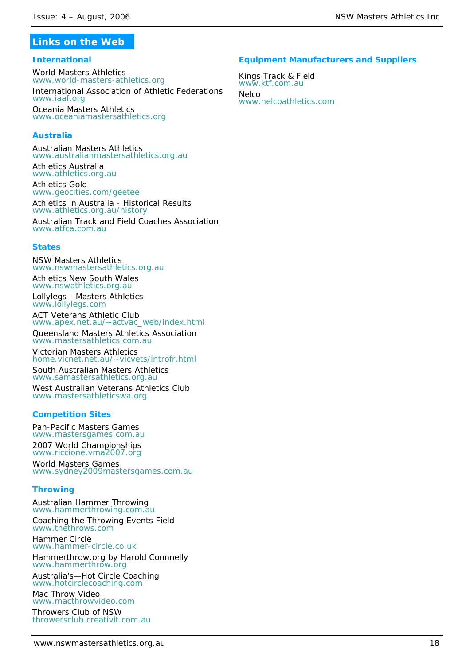# **Links on the Web**

### **International**

World Masters Athletics *www.world-masters-athletics.org*

International Association of Athletic Federations *www.iaaf.org*

Oceania Masters Athletics *www.oceaniamastersathletics.org*

### **Australia**

Australian Masters Athletics *www.australianmastersathletics.org.au*

Athletics Australia *www.athletics.org.au*

Athletics Gold *www.geocities.com/geetee*

Athletics in Australia - Historical Results *www.athletics.org.au/history*  Australian Track and Field Coaches Association

*www.atfca.com.au*

### **States**

NSW Masters Athletics *www.nswmastersathletics.org.au*

Athletics New South Wales *www.nswathletics.org.au*

Lollylegs - Masters Athletics *www.lollylegs.com*

ACT Veterans Athletic Club *www.apex.net.au/~actvac\_web/index.html*

Queensland Masters Athletics Association *www.mastersathletics.com.au* 

Victorian Masters Athletics *home.vicnet.net.au/~vicvets/introfr.html*

South Australian Masters Athletics *www.samastersathletics.org.au*

West Australian Veterans Athletics Club *www.mastersathleticswa.org*

### **Competition Sites**

Pan-Pacific Masters Games *www.mastersgames.com.au* 2007 World Championships *www.riccione.vma2007.org*

World Masters Games *www.sydney2009mastersgames.com.au*

### **Throwing**

Australian Hammer Throwing *www.hammerthrowing.com.au*

Coaching the Throwing Events Field *www.thethrows.com*

Hammer Circle www.hammer-circle.co.uk Hammerthrow.org by Harold Connnelly

*www.hammerthrow.org*

Australia's—Hot Circle Coaching *www.hotcirclecoaching.com*

Mac Throw Video *www.macthrowvideo.com* Throwers Club of NSW *throwersclub.creativit.com.au*

# www.nswmastersathletics.org.au 18

# **Equipment Manufacturers and Suppliers**

Kings Track & Field *www.ktf.com.au* **Nelco** *www.nelcoathletics.com*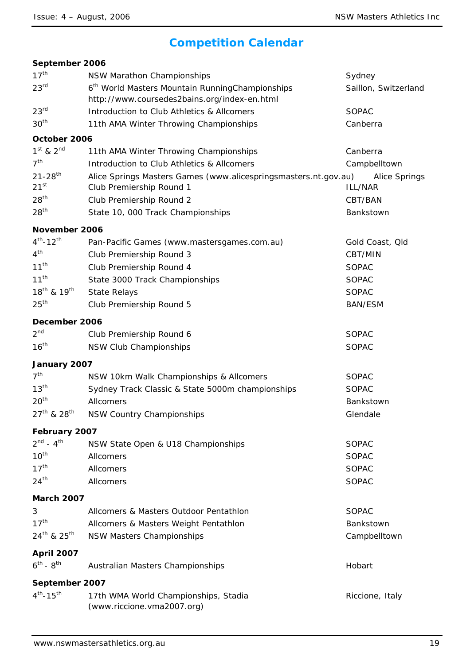# **Competition Calendar**

| September 2006                              |                                                                                                             |                            |
|---------------------------------------------|-------------------------------------------------------------------------------------------------------------|----------------------------|
| 17 <sup>th</sup>                            | NSW Marathon Championships                                                                                  | Sydney                     |
| 23 <sup>rd</sup>                            | 6 <sup>th</sup> World Masters Mountain RunningChampionships<br>http://www.coursedes2bains.org/index-en.html | Saillon, Switzerland       |
| 23 <sup>rd</sup>                            | Introduction to Club Athletics & Allcomers                                                                  | <b>SOPAC</b>               |
| 30 <sup>th</sup>                            | 11th AMA Winter Throwing Championships                                                                      | Canberra                   |
| October 2006                                |                                                                                                             |                            |
| $1st$ & $2nd$                               | 11th AMA Winter Throwing Championships                                                                      | Canberra                   |
| 7 <sup>th</sup>                             | Introduction to Club Athletics & Allcomers                                                                  | Campbelltown               |
| $21 - 28$ <sup>th</sup><br>21 <sup>st</sup> | Alice Springs Masters Games (www.alicespringsmasters.nt.gov.au)<br>Club Premiership Round 1                 | Alice Springs<br>ILL/NAR   |
| 28 <sup>th</sup>                            | Club Premiership Round 2                                                                                    | CBT/BAN                    |
| 28 <sup>th</sup>                            | State 10, 000 Track Championships                                                                           | Bankstown                  |
|                                             |                                                                                                             |                            |
| November 2006<br>$4^{th} - 12^{th}$         |                                                                                                             |                            |
| 4 <sup>th</sup>                             | Pan-Pacific Games (www.mastersgames.com.au)<br>Club Premiership Round 3                                     | Gold Coast, Old<br>CBT/MIN |
| $11^{th}$                                   | Club Premiership Round 4                                                                                    | <b>SOPAC</b>               |
| $11^{th}$                                   | State 3000 Track Championships                                                                              | <b>SOPAC</b>               |
| 18 <sup>th</sup> & 19 <sup>th</sup>         | <b>State Relays</b>                                                                                         | <b>SOPAC</b>               |
| 25 <sup>th</sup>                            | Club Premiership Round 5                                                                                    | <b>BAN/ESM</b>             |
|                                             |                                                                                                             |                            |
| December 2006<br>2 <sup>nd</sup>            |                                                                                                             |                            |
|                                             | Club Premiership Round 6                                                                                    | <b>SOPAC</b>               |
| 16 <sup>th</sup>                            | NSW Club Championships                                                                                      | <b>SOPAC</b>               |
| January 2007                                |                                                                                                             |                            |
| 7 <sup>th</sup>                             | NSW 10km Walk Championships & Allcomers                                                                     | <b>SOPAC</b>               |
| 13 <sup>th</sup>                            | Sydney Track Classic & State 5000m championships                                                            | SOPAC                      |
| 20 <sup>th</sup>                            | Allcomers                                                                                                   | Bankstown                  |
| $27^{th}$ & $28^{th}$                       | <b>NSW Country Championships</b>                                                                            | Glendale                   |
| February 2007                               |                                                                                                             |                            |
| $2^{nd} - 4^{th}$                           | NSW State Open & U18 Championships                                                                          | <b>SOPAC</b>               |
| $10^{th}$                                   | Allcomers                                                                                                   | <b>SOPAC</b>               |
| 17 <sup>th</sup>                            | Allcomers                                                                                                   | SOPAC                      |
| 24 <sup>th</sup>                            | Allcomers                                                                                                   | <b>SOPAC</b>               |
| <b>March 2007</b>                           |                                                                                                             |                            |
| 3                                           | Allcomers & Masters Outdoor Pentathlon                                                                      | SOPAC                      |
| 17 <sup>th</sup>                            | Allcomers & Masters Weight Pentathlon                                                                       | Bankstown                  |
| $24^{th}$ & $25^{th}$                       | <b>NSW Masters Championships</b>                                                                            | Campbelltown               |
| <b>April 2007</b>                           |                                                                                                             |                            |
| $6^{th} - 8^{th}$                           | Australian Masters Championships                                                                            | Hobart                     |
|                                             |                                                                                                             |                            |
| September 2007<br>$4^{th} - 15^{th}$        |                                                                                                             |                            |
|                                             | 17th WMA World Championships, Stadia<br>(www.riccione.vma2007.org)                                          | Riccione, Italy            |
|                                             |                                                                                                             |                            |